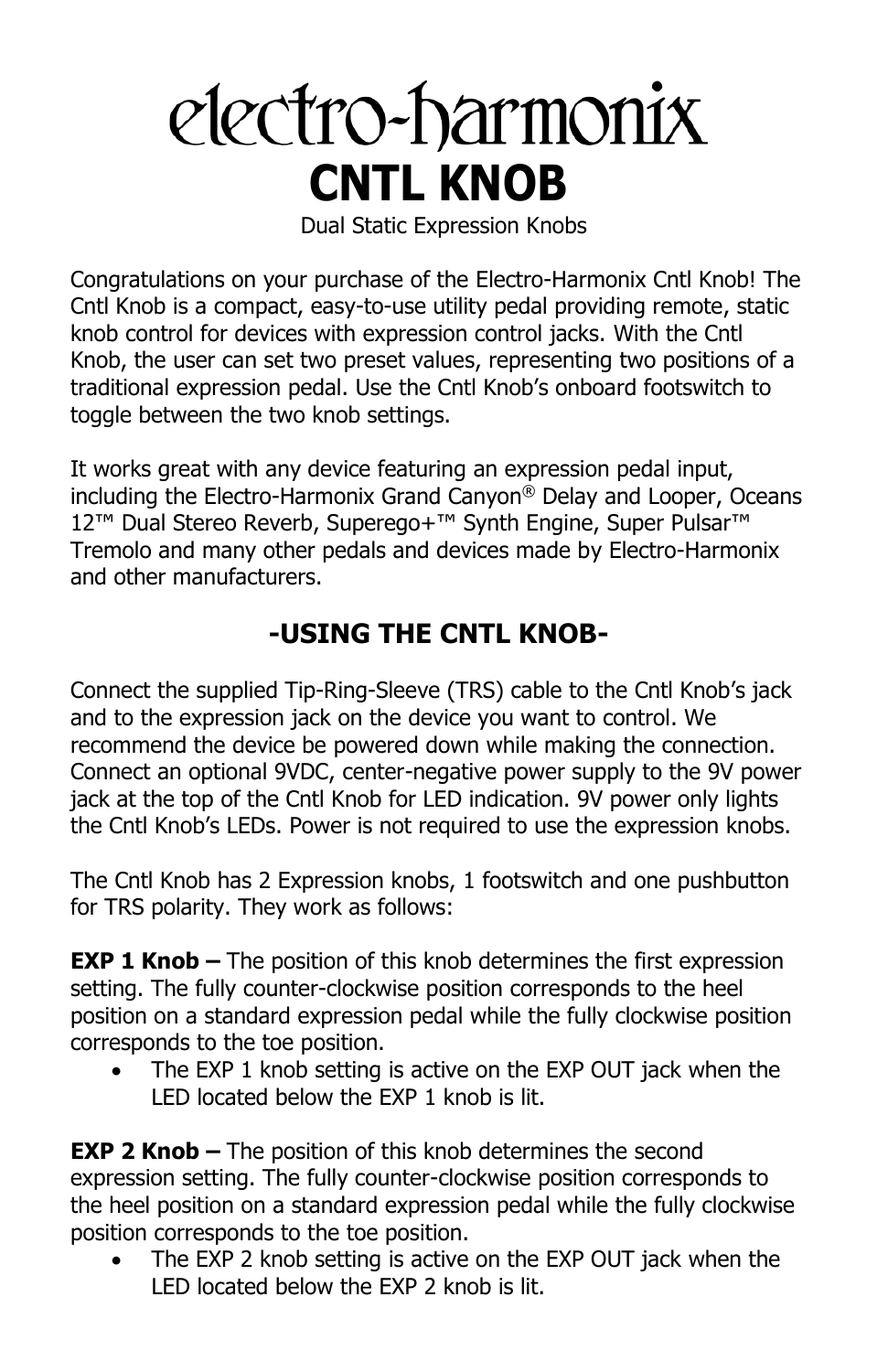# electro-harmonix **CNTL KNOB**

Dual Static Expression Knobs

Congratulations on your purchase of the Electro-Harmonix Cntl Knob! The Cntl Knob is a compact, easy-to-use utility pedal providing remote, static knob control for devices with expression control jacks. With the Cntl Knob, the user can set two preset values, representing two positions of a traditional expression pedal. Use the Cntl Knob's onboard footswitch to toggle between the two knob settings.

It works great with any device featuring an expression pedal input, including the Electro-Harmonix Grand Canyon® Delay and Looper, Oceans 12<sup>™</sup> Dual Stereo Reverb, Superego+<sup>™</sup> Synth Engine, Super Pulsar<sup>™</sup> Tremolo and many other pedals and devices made by Electro-Harmonix and other manufacturers.

## **-USING THE CNTL KNOB-**

Connect the supplied Tip-Ring-Sleeve (TRS) cable to the Cntl Knob's jack and to the expression jack on the device you want to control. We recommend the device be powered down while making the connection. Connect an optional 9VDC, center-negative power supply to the 9V power jack at the top of the Cntl Knob for LED indication. 9V power only lights the Cntl Knob's LEDs. Power is not required to use the expression knobs.

The Cntl Knob has 2 Expression knobs, 1 footswitch and one pushbutton for TRS polarity. They work as follows:

**EXP 1 Knob –** The position of this knob determines the first expression setting. The fully counter-clockwise position corresponds to the heel position on a standard expression pedal while the fully clockwise position corresponds to the toe position.

The EXP 1 knob setting is active on the EXP OUT jack when the LED located below the EXP 1 knob is lit.

**EXP 2 Knob –** The position of this knob determines the second expression setting. The fully counter-clockwise position corresponds to the heel position on a standard expression pedal while the fully clockwise position corresponds to the toe position.

The EXP 2 knob setting is active on the EXP OUT jack when the LED located below the EXP 2 knob is lit.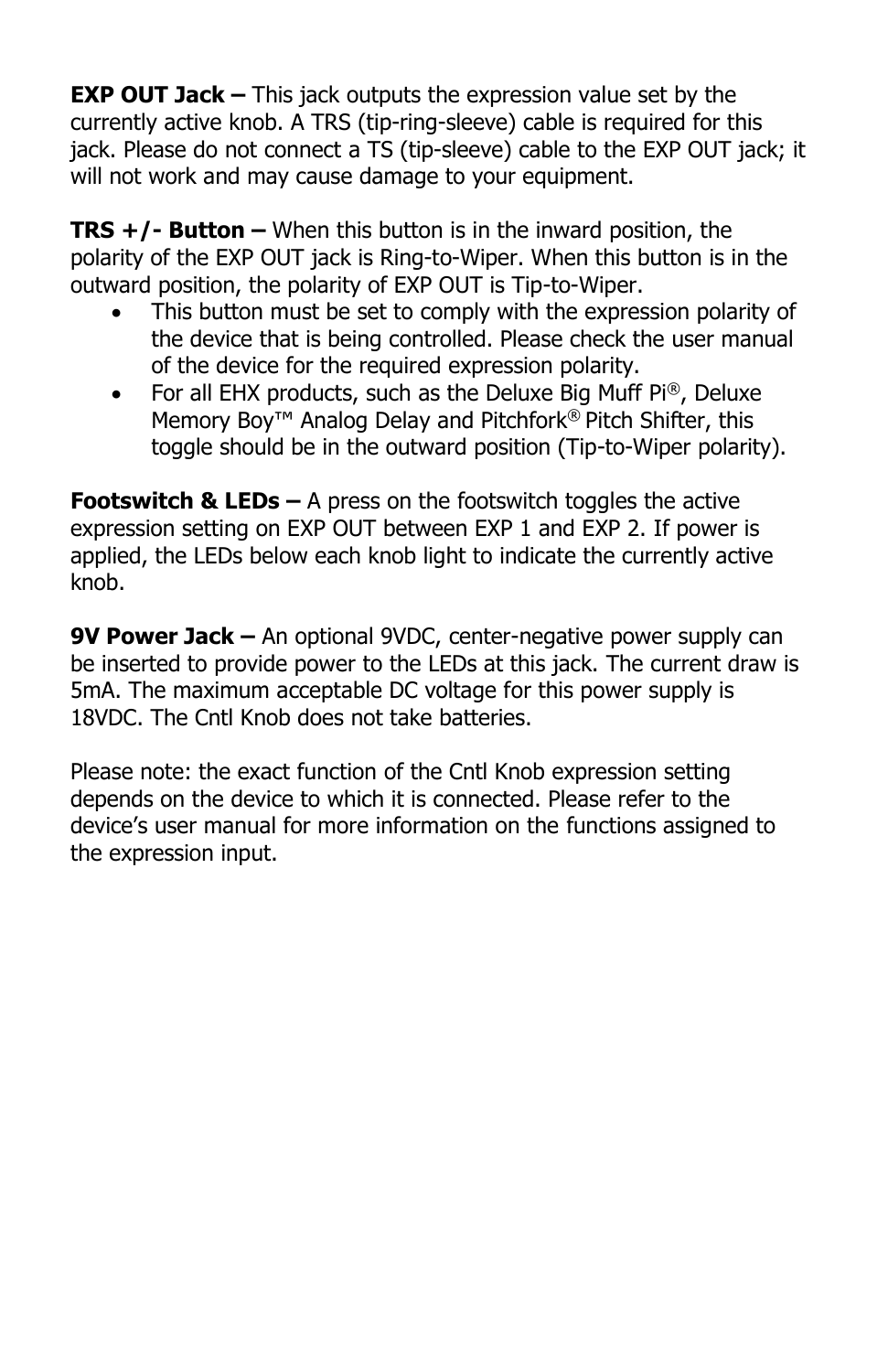**EXP OUT Jack –** This jack outputs the expression value set by the currently active knob. A TRS (tip-ring-sleeve) cable is required for this jack. Please do not connect a TS (tip-sleeve) cable to the EXP OUT jack; it will not work and may cause damage to your equipment.

**TRS +/- Button –** When this button is in the inward position, the polarity of the EXP OUT jack is Ring-to-Wiper. When this button is in the outward position, the polarity of EXP OUT is Tip-to-Wiper.

- This button must be set to comply with the expression polarity of the device that is being controlled. Please check the user manual of the device for the required expression polarity.
- For all EHX products, such as the Deluxe Big Muff Pi®, Deluxe Memory Boy<sup>™</sup> Analog Delay and Pitchfork<sup>®</sup> Pitch Shifter, this toggle should be in the outward position (Tip-to-Wiper polarity).

**Footswitch & LEDs –** A press on the footswitch toggles the active expression setting on EXP OUT between EXP 1 and EXP 2. If power is applied, the LEDs below each knob light to indicate the currently active knob.

**9V Power Jack –** An optional 9VDC, center-negative power supply can be inserted to provide power to the LEDs at this jack. The current draw is 5mA. The maximum acceptable DC voltage for this power supply is 18VDC. The Cntl Knob does not take batteries.

Please note: the exact function of the Cntl Knob expression setting depends on the device to which it is connected. Please refer to the device's user manual for more information on the functions assigned to the expression input.